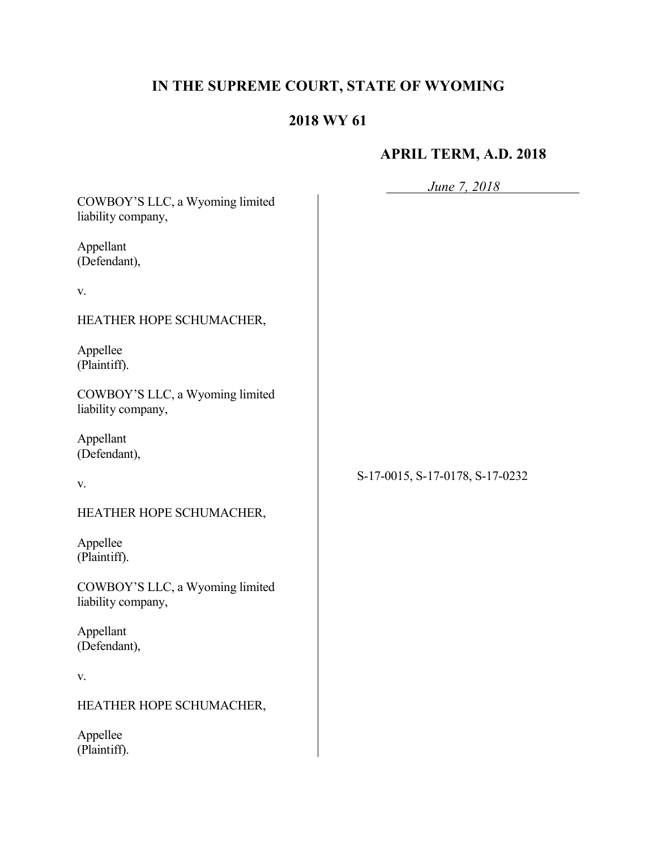# **IN THE SUPREME COURT, STATE OF WYOMING**

# **2018 WY 61**

## **APRIL TERM, A.D. 2018**

|                                                       | June 7, 2018                    |
|-------------------------------------------------------|---------------------------------|
| COWBOY'S LLC, a Wyoming limited<br>liability company, |                                 |
| Appellant<br>(Defendant),                             |                                 |
| V.                                                    |                                 |
| HEATHER HOPE SCHUMACHER,                              |                                 |
| Appellee<br>(Plaintiff).                              |                                 |
| COWBOY'S LLC, a Wyoming limited<br>liability company, |                                 |
| Appellant<br>(Defendant),                             |                                 |
| V.                                                    | S-17-0015, S-17-0178, S-17-0232 |
| HEATHER HOPE SCHUMACHER,                              |                                 |
| Appellee<br>(Plaintiff).                              |                                 |
| COWBOY'S LLC, a Wyoming limited<br>liability company, |                                 |
| Appellant<br>(Defendant),                             |                                 |
| V.                                                    |                                 |
| HEATHER HOPE SCHUMACHER,                              |                                 |
| Appellee<br>(Plaintiff).                              |                                 |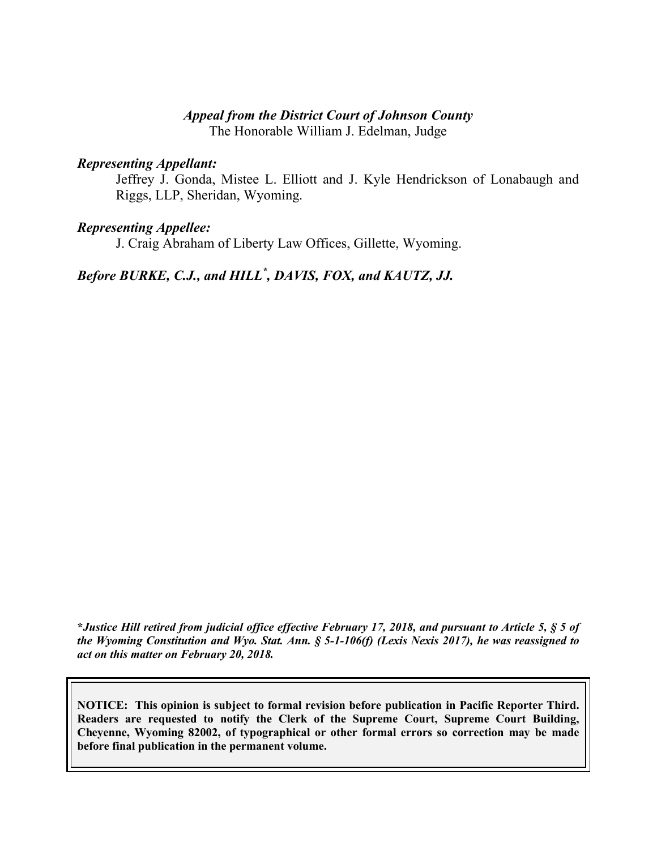#### *Appeal from the District Court of Johnson County*

The Honorable William J. Edelman, Judge

#### *Representing Appellant:*

Jeffrey J. Gonda, Mistee L. Elliott and J. Kyle Hendrickson of Lonabaugh and Riggs, LLP, Sheridan, Wyoming.

#### *Representing Appellee:*

J. Craig Abraham of Liberty Law Offices, Gillette, Wyoming.

## *Before BURKE, C.J., and HILL\* , DAVIS, FOX, and KAUTZ, JJ.*

**\****Justice Hill retired from judicial office effective February 17, 2018, and pursuant to Article 5, § 5 of the Wyoming Constitution and Wyo. Stat. Ann. § 5-1-106(f) (Lexis Nexis 2017), he was reassigned to act on this matter on February 20, 2018.*

**NOTICE: This opinion is subject to formal revision before publication in Pacific Reporter Third. Readers are requested to notify the Clerk of the Supreme Court, Supreme Court Building, Cheyenne, Wyoming 82002, of typographical or other formal errors so correction may be made before final publication in the permanent volume.**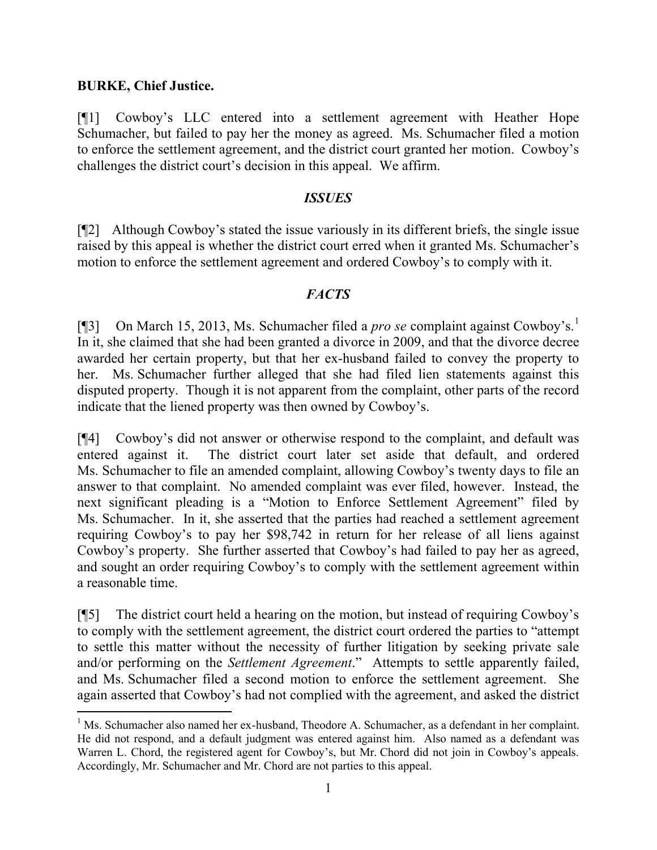## **BURKE, Chief Justice.**

l

[¶1] Cowboy's LLC entered into a settlement agreement with Heather Hope Schumacher, but failed to pay her the money as agreed. Ms. Schumacher filed a motion to enforce the settlement agreement, and the district court granted her motion. Cowboy's challenges the district court's decision in this appeal. We affirm.

### *ISSUES*

[¶2] Although Cowboy's stated the issue variously in its different briefs, the single issue raised by this appeal is whether the district court erred when it granted Ms. Schumacher's motion to enforce the settlement agreement and ordered Cowboy's to comply with it.

## *FACTS*

[¶3] On March 15, 2013, Ms. Schumacher filed a *pro se* complaint against Cowboy's.<sup>1</sup> In it, she claimed that she had been granted a divorce in 2009, and that the divorce decree awarded her certain property, but that her ex-husband failed to convey the property to her. Ms. Schumacher further alleged that she had filed lien statements against this disputed property. Though it is not apparent from the complaint, other parts of the record indicate that the liened property was then owned by Cowboy's.

[¶4] Cowboy's did not answer or otherwise respond to the complaint, and default was entered against it. The district court later set aside that default, and ordered Ms. Schumacher to file an amended complaint, allowing Cowboy's twenty days to file an answer to that complaint. No amended complaint was ever filed, however. Instead, the next significant pleading is a "Motion to Enforce Settlement Agreement" filed by Ms. Schumacher. In it, she asserted that the parties had reached a settlement agreement requiring Cowboy's to pay her \$98,742 in return for her release of all liens against Cowboy's property. She further asserted that Cowboy's had failed to pay her as agreed, and sought an order requiring Cowboy's to comply with the settlement agreement within a reasonable time.

[¶5] The district court held a hearing on the motion, but instead of requiring Cowboy's to comply with the settlement agreement, the district court ordered the parties to "attempt to settle this matter without the necessity of further litigation by seeking private sale and/or performing on the *Settlement Agreement*." Attempts to settle apparently failed, and Ms. Schumacher filed a second motion to enforce the settlement agreement. She again asserted that Cowboy's had not complied with the agreement, and asked the district

<sup>&</sup>lt;sup>1</sup> Ms. Schumacher also named her ex-husband, Theodore A. Schumacher, as a defendant in her complaint. He did not respond, and a default judgment was entered against him. Also named as a defendant was Warren L. Chord, the registered agent for Cowboy's, but Mr. Chord did not join in Cowboy's appeals. Accordingly, Mr. Schumacher and Mr. Chord are not parties to this appeal.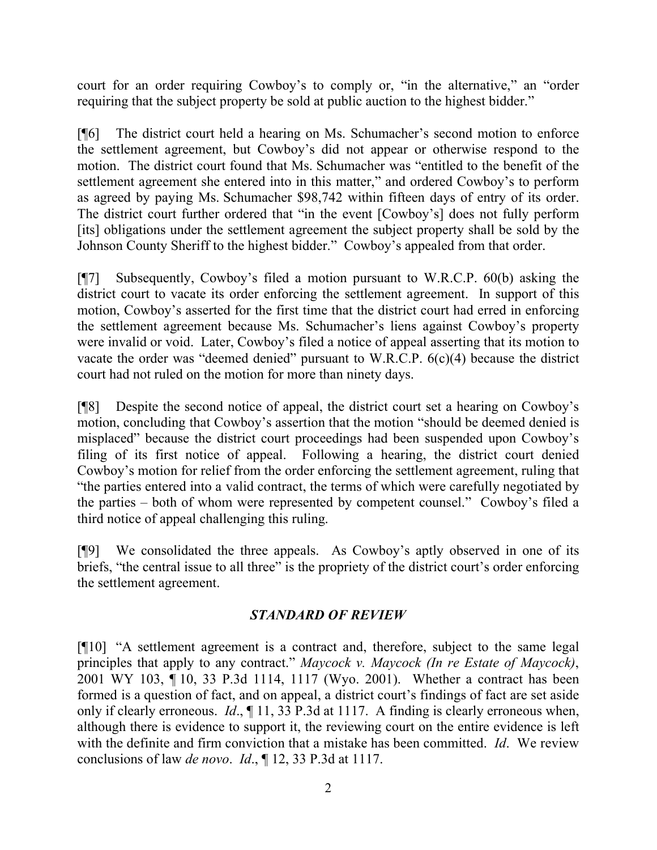court for an order requiring Cowboy's to comply or, "in the alternative," an "order requiring that the subject property be sold at public auction to the highest bidder."

[¶6] The district court held a hearing on Ms. Schumacher's second motion to enforce the settlement agreement, but Cowboy's did not appear or otherwise respond to the motion. The district court found that Ms. Schumacher was "entitled to the benefit of the settlement agreement she entered into in this matter," and ordered Cowboy's to perform as agreed by paying Ms. Schumacher \$98,742 within fifteen days of entry of its order. The district court further ordered that "in the event [Cowboy's] does not fully perform [its] obligations under the settlement agreement the subject property shall be sold by the Johnson County Sheriff to the highest bidder." Cowboy's appealed from that order.

[¶7] Subsequently, Cowboy's filed a motion pursuant to W.R.C.P. 60(b) asking the district court to vacate its order enforcing the settlement agreement. In support of this motion, Cowboy's asserted for the first time that the district court had erred in enforcing the settlement agreement because Ms. Schumacher's liens against Cowboy's property were invalid or void. Later, Cowboy's filed a notice of appeal asserting that its motion to vacate the order was "deemed denied" pursuant to W.R.C.P. 6(c)(4) because the district court had not ruled on the motion for more than ninety days.

[¶8] Despite the second notice of appeal, the district court set a hearing on Cowboy's motion, concluding that Cowboy's assertion that the motion "should be deemed denied is misplaced" because the district court proceedings had been suspended upon Cowboy's filing of its first notice of appeal. Following a hearing, the district court denied Cowboy's motion for relief from the order enforcing the settlement agreement, ruling that "the parties entered into a valid contract, the terms of which were carefully negotiated by the parties – both of whom were represented by competent counsel." Cowboy's filed a third notice of appeal challenging this ruling.

[¶9] We consolidated the three appeals. As Cowboy's aptly observed in one of its briefs, "the central issue to all three" is the propriety of the district court's order enforcing the settlement agreement.

## *STANDARD OF REVIEW*

[¶10] "A settlement agreement is a contract and, therefore, subject to the same legal principles that apply to any contract." *Maycock v. Maycock (In re Estate of Maycock)*, 2001 WY 103, ¶ 10, 33 P.3d 1114, 1117 (Wyo. 2001). Whether a contract has been formed is a question of fact, and on appeal, a district court's findings of fact are set aside only if clearly erroneous. *Id*., ¶ 11, 33 P.3d at 1117. A finding is clearly erroneous when, although there is evidence to support it, the reviewing court on the entire evidence is left with the definite and firm conviction that a mistake has been committed. *Id*. We review conclusions of law *de novo*. *Id*., ¶ 12, 33 P.3d at 1117.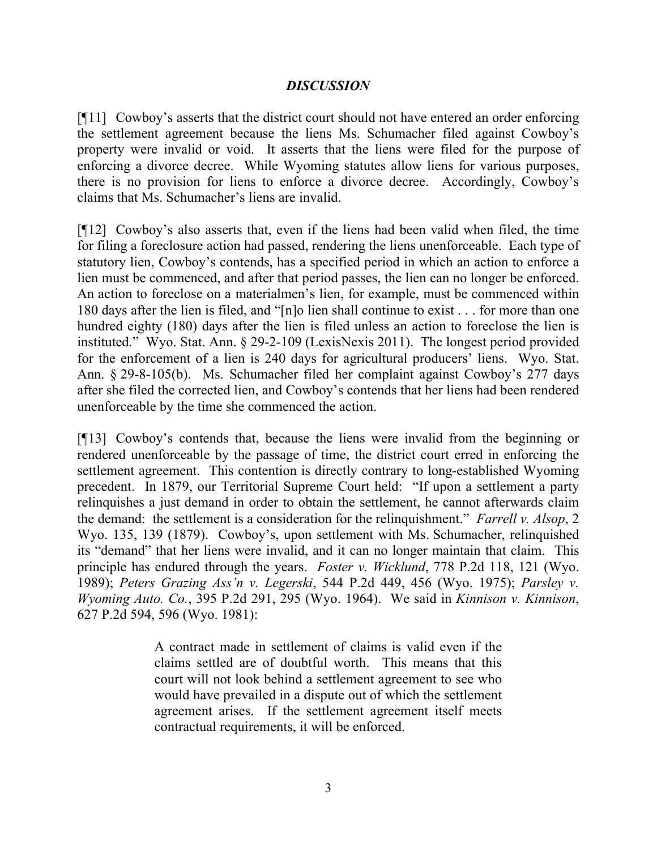## *DISCUSSION*

[¶11] Cowboy's asserts that the district court should not have entered an order enforcing the settlement agreement because the liens Ms. Schumacher filed against Cowboy's property were invalid or void. It asserts that the liens were filed for the purpose of enforcing a divorce decree. While Wyoming statutes allow liens for various purposes, there is no provision for liens to enforce a divorce decree. Accordingly, Cowboy's claims that Ms. Schumacher's liens are invalid.

[¶12] Cowboy's also asserts that, even if the liens had been valid when filed, the time for filing a foreclosure action had passed, rendering the liens unenforceable. Each type of statutory lien, Cowboy's contends, has a specified period in which an action to enforce a lien must be commenced, and after that period passes, the lien can no longer be enforced. An action to foreclose on a materialmen's lien, for example, must be commenced within 180 days after the lien is filed, and "[n]o lien shall continue to exist . . . for more than one hundred eighty (180) days after the lien is filed unless an action to foreclose the lien is instituted." Wyo. Stat. Ann. § 29-2-109 (LexisNexis 2011). The longest period provided for the enforcement of a lien is 240 days for agricultural producers' liens. Wyo. Stat. Ann. § 29-8-105(b). Ms. Schumacher filed her complaint against Cowboy's 277 days after she filed the corrected lien, and Cowboy's contends that her liens had been rendered unenforceable by the time she commenced the action.

[¶13] Cowboy's contends that, because the liens were invalid from the beginning or rendered unenforceable by the passage of time, the district court erred in enforcing the settlement agreement. This contention is directly contrary to long-established Wyoming precedent. In 1879, our Territorial Supreme Court held: "If upon a settlement a party relinquishes a just demand in order to obtain the settlement, he cannot afterwards claim the demand: the settlement is a consideration for the relinquishment." *Farrell v. Alsop*, 2 Wyo. 135, 139 (1879). Cowboy's, upon settlement with Ms. Schumacher, relinquished its "demand" that her liens were invalid, and it can no longer maintain that claim. This principle has endured through the years. *Foster v. Wicklund*, 778 P.2d 118, 121 (Wyo. 1989); *Peters Grazing Ass'n v. Legerski*, 544 P.2d 449, 456 (Wyo. 1975); *Parsley v. Wyoming Auto. Co.*, 395 P.2d 291, 295 (Wyo. 1964). We said in *Kinnison v. Kinnison*, 627 P.2d 594, 596 (Wyo. 1981):

> A contract made in settlement of claims is valid even if the claims settled are of doubtful worth. This means that this court will not look behind a settlement agreement to see who would have prevailed in a dispute out of which the settlement agreement arises. If the settlement agreement itself meets contractual requirements, it will be enforced.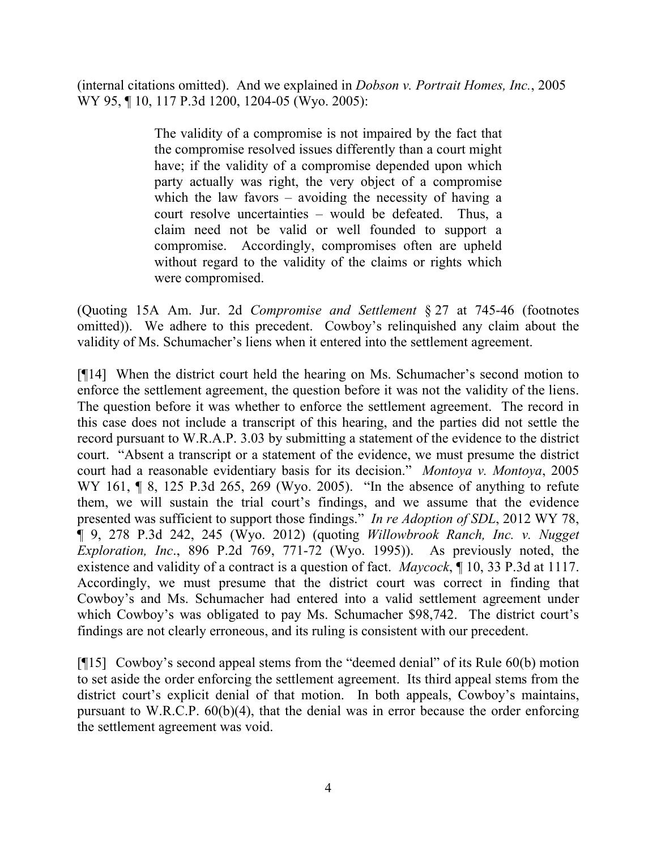(internal citations omitted). And we explained in *Dobson v. Portrait Homes, Inc.*, 2005 WY 95, ¶ 10, 117 P.3d 1200, 1204-05 (Wyo. 2005):

> The validity of a compromise is not impaired by the fact that the compromise resolved issues differently than a court might have; if the validity of a compromise depended upon which party actually was right, the very object of a compromise which the law favors  $-$  avoiding the necessity of having a court resolve uncertainties – would be defeated. Thus, a claim need not be valid or well founded to support a compromise. Accordingly, compromises often are upheld without regard to the validity of the claims or rights which were compromised.

(Quoting 15A Am. Jur. 2d *Compromise and Settlement* § 27 at 745-46 (footnotes omitted)). We adhere to this precedent. Cowboy's relinquished any claim about the validity of Ms. Schumacher's liens when it entered into the settlement agreement.

[¶14] When the district court held the hearing on Ms. Schumacher's second motion to enforce the settlement agreement, the question before it was not the validity of the liens. The question before it was whether to enforce the settlement agreement. The record in this case does not include a transcript of this hearing, and the parties did not settle the record pursuant to W.R.A.P. 3.03 by submitting a statement of the evidence to the district court. "Absent a transcript or a statement of the evidence, we must presume the district court had a reasonable evidentiary basis for its decision." *Montoya v. Montoya*, 2005 WY 161, ¶ 8, 125 P.3d 265, 269 (Wyo. 2005). "In the absence of anything to refute them, we will sustain the trial court's findings, and we assume that the evidence presented was sufficient to support those findings." *In re Adoption of SDL*, 2012 WY 78, ¶ 9, 278 P.3d 242, 245 (Wyo. 2012) (quoting *Willowbrook Ranch, Inc. v. Nugget Exploration, Inc*., 896 P.2d 769, 771-72 (Wyo. 1995)). As previously noted, the existence and validity of a contract is a question of fact. *Maycock*, ¶ 10, 33 P.3d at 1117. Accordingly, we must presume that the district court was correct in finding that Cowboy's and Ms. Schumacher had entered into a valid settlement agreement under which Cowboy's was obligated to pay Ms. Schumacher \$98,742. The district court's findings are not clearly erroneous, and its ruling is consistent with our precedent.

[¶15] Cowboy's second appeal stems from the "deemed denial" of its Rule 60(b) motion to set aside the order enforcing the settlement agreement. Its third appeal stems from the district court's explicit denial of that motion. In both appeals, Cowboy's maintains, pursuant to W.R.C.P. 60(b)(4), that the denial was in error because the order enforcing the settlement agreement was void.